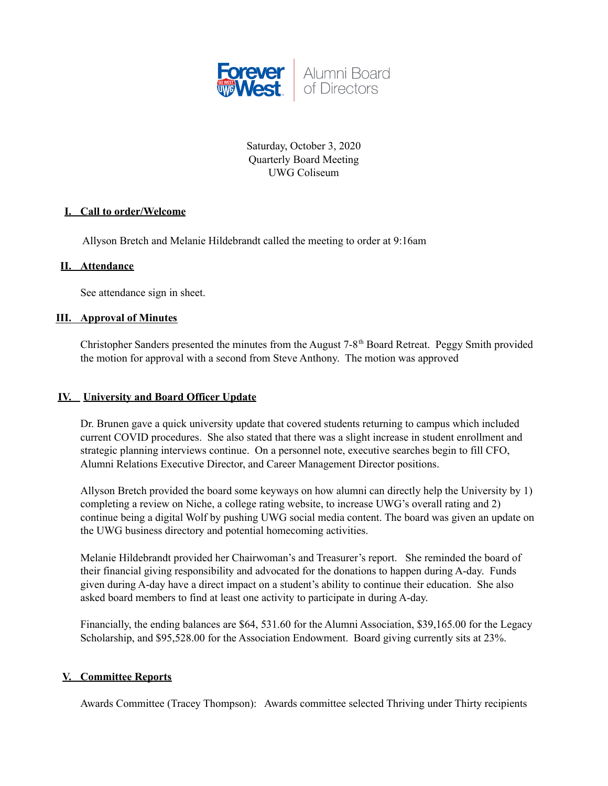

Saturday, October 3, 2020 Quarterly Board Meeting UWG Coliseum

# **I. Call to order/Welcome**

Allyson Bretch and Melanie Hildebrandt called the meeting to order at 9:16am

## **II. Attendance**

See attendance sign in sheet.

#### **III. Approval of Minutes**

Christopher Sanders presented the minutes from the August 7-8<sup>th</sup> Board Retreat. Peggy Smith provided the motion for approval with a second from Steve Anthony. The motion was approved

### **IV. University and Board Officer Update**

Dr. Brunen gave a quick university update that covered students returning to campus which included current COVID procedures. She also stated that there was a slight increase in student enrollment and strategic planning interviews continue. On a personnel note, executive searches begin to fill CFO, Alumni Relations Executive Director, and Career Management Director positions.

Allyson Bretch provided the board some keyways on how alumni can directly help the University by 1) completing a review on Niche, a college rating website, to increase UWG's overall rating and 2) continue being a digital Wolf by pushing UWG social media content. The board was given an update on the UWG business directory and potential homecoming activities.

Melanie Hildebrandt provided her Chairwoman's and Treasurer's report. She reminded the board of their financial giving responsibility and advocated for the donations to happen during A-day. Funds given during A-day have a direct impact on a student's ability to continue their education. She also asked board members to find at least one activity to participate in during A-day.

Financially, the ending balances are \$64, 531.60 for the Alumni Association, \$39,165.00 for the Legacy Scholarship, and \$95,528.00 for the Association Endowment. Board giving currently sits at 23%.

# **V. Committee Reports**

Awards Committee (Tracey Thompson): Awards committee selected Thriving under Thirty recipients